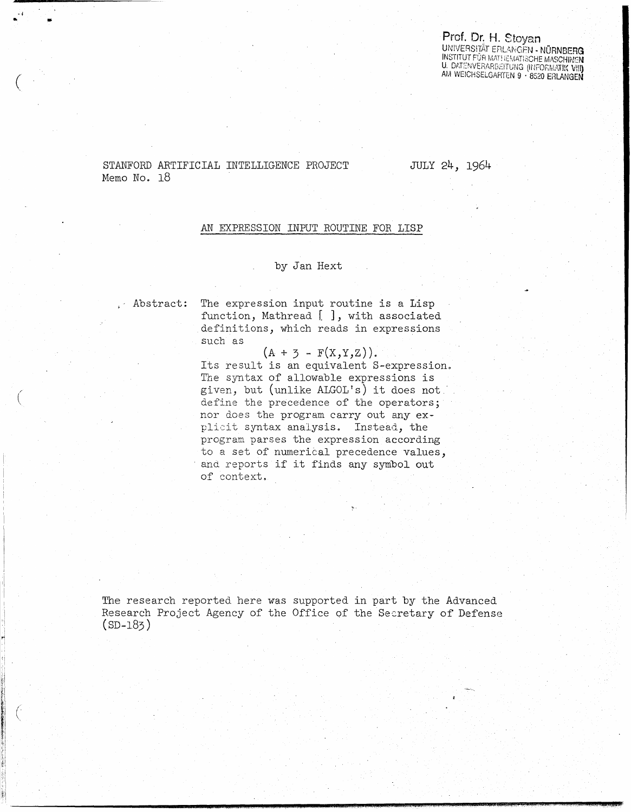#### Prof. Dr. H. Stoyan UNIVERSITÄT ERLANGEN - NÜRNBERG **INSTITUT FÜR MATHEMATISCHE MASCHINEN** U. DATENVERARBEITUNG (INFORMATIK VIII) AM WEICHSELGARTEN 9 · 8520 ERLANGEN

# STANFORD ARTIFICIAL INTELLIGENCE PROJECT Memo No. 18

JULY 24, 1964

### AN EXPRESSION INPUT ROUTINE FOR LISP

# by Jan Hext

Abstract:

The expression input routine is a Lisp function, Mathread [ ], with associated definitions, which reads in expressions such as

 $(A + 3 - F(X,Y,Z)).$ Its result is an equivalent S-expression. The syntax of allowable expressions is given, but (unlike ALGOL's) it does not define the precedence of the operators; nor does the program carry out any explicit syntax analysis. Instead, the program parses the expression according to a set of numerical precedence values, and reports if it finds any symbol out of context.

The research reported here was supported in part by the Advanced Research Project Agency of the Office of the Secretary of Defense  $(SD-183)$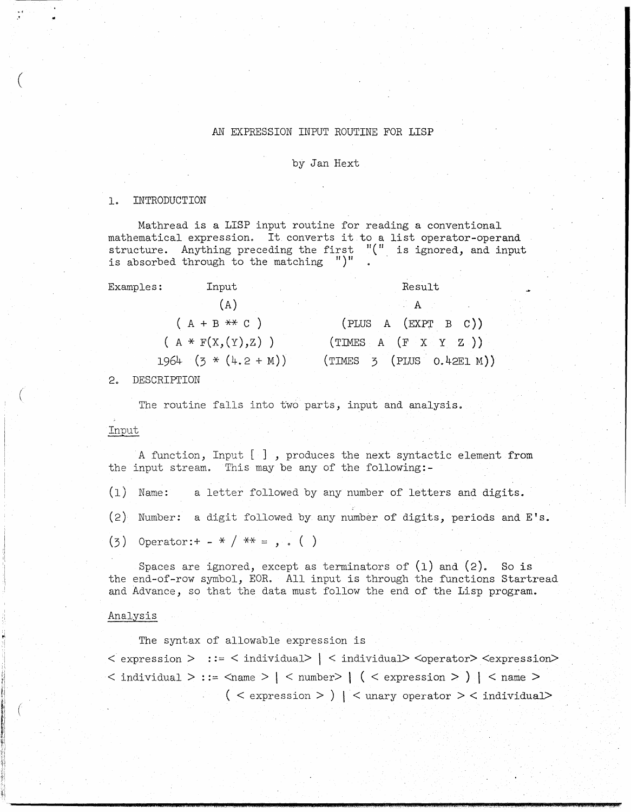# AN EXPRESSION INPUT ROUTINE FOR LISP

### by Jan Hext

### 1. INTRODUCTION

·'

(

~i

i'

 $\vdots$ lr (

Mathread is a LISP input routine for reading a conventional mathematical expression. It converts it to a list operator-operand structure. Anything preceding the first "(" is ignored, and input is absorbed through to the matching ")"

| Examples: | Input                    | Result                    |  |
|-----------|--------------------------|---------------------------|--|
|           | (A)                      | A                         |  |
|           | $(A + B \times C)$       | (PLUS A (EXPT B C))       |  |
|           | $(A * F(X, (Y), Z))$     | (TIMES A (F X Y Z))       |  |
|           | $1964$ $(3 * (4.2 + M))$ | (TIMES 3 (PLUS 0.42EI M)) |  |

## 2. DESCRIPTION

The routine falls into two parts, input and analysis.

### Input

A function, Input [ ] , produces the next syntactic element from the input stream. This may be any of the following:-

- (1) Name: a letter followed by any number of letters and digits.
- (2) Number: a digit followed by any number of digits, periods and  $E's$ .
- $(3)$  Operator: + \* / \*\* = , . ()

Spaces are ignored, except as terminators of  $(1)$  and  $(2)$ . So is the end-of-row symbol, EOR. All input is through the functions Startread and Advance, so that the data must follow the end of the Lisp program.

### Analysis

The syntax of allowable expression is

 $\langle$  expression  $\rangle$  ::=  $\langle$  individual $\rangle$   $|$   $\langle$  individual $\rangle$   $\langle$ operator $\rangle$   $\langle$ expression $\rangle$  $<$  individual  $>$  ::=  $<$ name  $>$  |  $<$  number $>$  |  $($   $<$  expression  $>$   $)$  |  $<$  name  $>$  $(<sub>expression</sub> > | <sub>unary operator</sub> > <sub>indivial</sub>)$ 

**;==aa.,"** J **IPA"** *WAX* ',.\_ \_A'-...... **iJi(4.MM.AM4AMPU.\$ ;gQ444l4JAh4.t.J;** .\$41. '(T 'L(" . \_ **j..** p a~ *at* .. ,;.,;, .,.Ut...SM.Q" *.... ,,;:mr*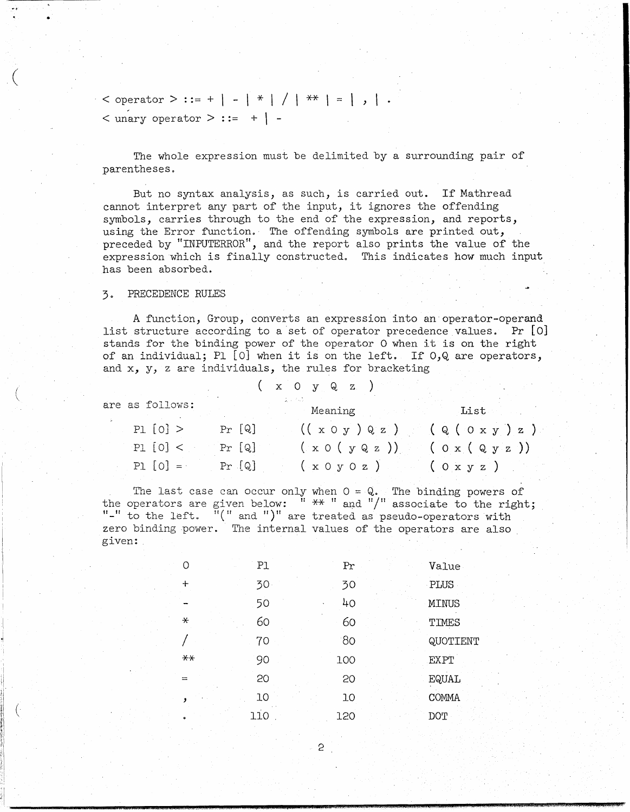$\leq$  operator  $>$  ::= +  $\vert - \vert * \vert / \vert * * \vert = \vert , \vert$ .  $\langle$  unary operator  $\rangle$  ::= + | -

The whole expression must be delimited by a surrounding pair of parentheses.

But no syntax analysis, as such, is carried out. If Mathread cannot interpret any part of the input, it ignores the offending symbols, carries through to the end of the expression, and reports, using the Error function. The offending symbols are printed out, preceded by "INPUTERROR", and the report also prints the value of the expression which is finally constructed. This indicates how much input has been absorbed.

# 3 0 PRECEDENCE RULES

 $\big($ 

 $\mu$ 

,I  $\mathsf{I}$ "I'

I,'!

 $\mathbb{I}$ I", I 'I :'\

 $\vert \ \vert$  (

A function, Group, converts an expression into an'operator-operand list structure according to a'set of operator precedence values. Pr [0] stands for the binding power of the operator 0 when it is on the right of an individual; PI [0] when it is on the left. If O,Q are operators, and x, y, z are individuals, the rules for bracketing

|                 |          | $x \cup y \cup Q \cup Z$                   |      |
|-----------------|----------|--------------------------------------------|------|
| are as follows: |          | Meaning                                    | List |
| Pl $[0] >$      | $Pr$ [Q] | $((x \circ y) \circ z)$ $(g(\circ x y) z)$ |      |
| $PI  0 $ <      | Pr[Q]    | $(x \circ (y \otimes z))$ $(0 x (Q y z))$  |      |
| $P1 [0] =$      | Pr[Q]    | $(x \circ y \circ z)$ (Oxyz)               |      |

The last case can occur only when  $0 = Q_•$  The binding powers of the operators are given below:  $\frac{1}{100}$   $\frac{1}{100}$   $\frac{1}{100}$  associate to the right;  $\blacksquare$  to the left.  $\blacksquare$  and ")" are treated as pseudo-operators with zero binding power. The internal values of the operators are also given: ,

| $\Omega$  | P1  | Pr              | Value        |
|-----------|-----|-----------------|--------------|
| $\ddot{}$ | 30  | 30              | PLUS         |
|           | 50  | 40              | <b>MINUS</b> |
| $\star$   | 60  | 60              | TIMES        |
|           | 70  | 80 <sub>o</sub> | QUOTIENT     |
| $**$      | 90  | 100             | <b>EXPT</b>  |
| $\equiv$  | 20  | 20              | EQUAL        |
|           | 10  | 10              | <b>COMMA</b> |
|           | 110 | 120             | DOT          |

2

**Q4"\*,\*,###MUM4A44,4t04 A,,·** ,.t **WOX4#4M4.#4#.44 (A-q** \_ •• A ... A. .. " .• .hA **r** ·Pi **\*Q44S44414MU4;;JM4 .. ¥ ":4;%;:'1** aT,.· ,u.ma¥¥ .. ¥i4l¥#."i.,!4!'..M\lF.N4; 7AM,.4gG;;::;;U;44il'"1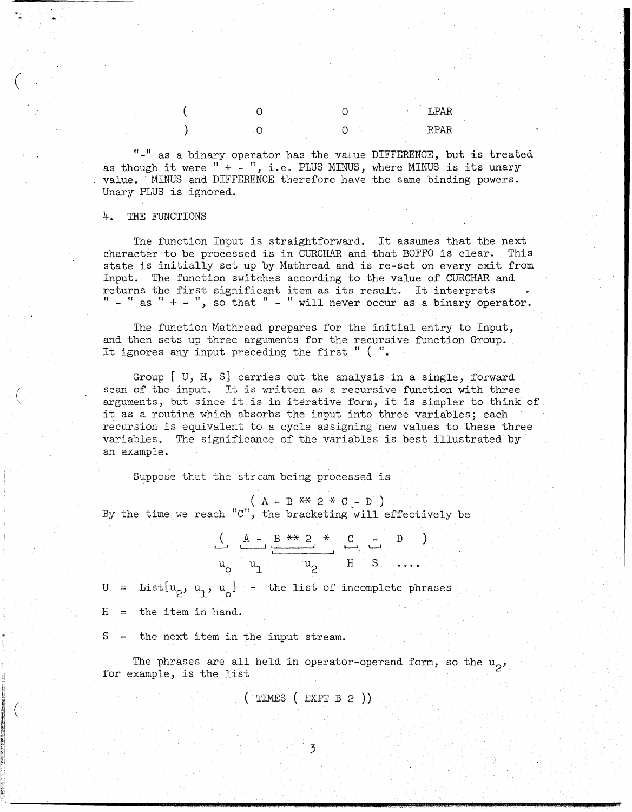$\circ$  $\circ$  $\circ$  $\Omega$ 

"-" as a binary operator has the value DIFFERENCE, but is treated as though it were " $+$  -", i.e. PLUS MINUS, where MINUS is its unary value. MINUS and DIFFERENCE therefore have the same binding powers. Unary PLUS is ignored.

LPAR

**RPAR** 

4. THE FUNCTIONS

١

The function Input is straightforward. It assumes that the next character to be processed is in CURCHAR and that BOFFO is clear. This state is initially set up by Mathread and is re-set on every exit from Input. The function switches according to the value of CURCHAR and returns the first significant item as its result. It interprets  $"$  - " as " + - ", so that " - " will never occur as a binary operator.

The function Mathread prepares for the initial entry to Input, and then sets up three arguments for the recursive function Group. It ignores any input preceding the first "  $($  ".

Group  $[$  U, H, S] carries out the analysis in a single, forward scan of the input. It is written as a recursive function with three arguments, but since it is in iterative form, it is simpler to think of it as a routine which absorbs the input into three variables; each recursion is equivalent to a cycle assigning new values to these three variables. The significance of the variables is best illustrated by an example.

Suppose that the stream being processed is

 $(A - B ** 2 * C - D)$ <br>By the time we reach "C", the bracketing will effectively be

$$
\begin{array}{c|cccc}\n & A & - & B & \ast & 2 & \ast & C & - & D \\
\hline\nu_0 & u_1 & & u_2 & & H & S & \dots\n\end{array}
$$

 $U = List[u_0, u_1, u_0]$  - the list of incomplete phrases  $H =$  the item in hand.

 $S =$  the next item in the input stream.

The phrases are all held in operator-operand form, so the  $u_0$ , for example, is the list

 $(\text{TIMES} (\text{EXPT B 2}))$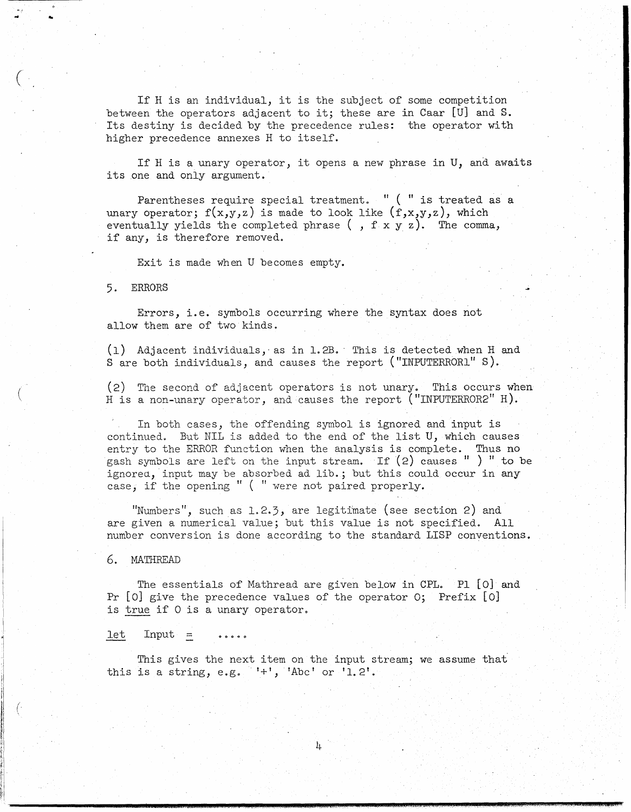If H is an individual, it is the subject of some competition between the operators adjacent to it; these are in Caar [U] and S. Its destiny is decided by the precedence rules: the operator with higher precedence annexes H to itself.

If H is a unary operator, it opens a new phrase in U, and awaits its one and only argument.

Parentheses require special treatment. "  $($  " is treated as a unary operator;  $f(x,y,z)$  is made to look like  $(f,x,y,z)$ , which eventually yields the completed phrase  $($ ,  $f x y z)$ . The comma, if any, is therefore removed.

Exit is made when U becomes empty.

### 5. ERRORS

 $($ 

Errors, i.e. symbols occurring where the syntax does not allow them are of two kinds.

(1) Adjacent individuals, as in 1.2B. This is detected when H and S are both individuals, and causes the report ("INPUTERRORL" S).

(2) The second of adjacent operators is not unary. This occurs when H is a non-unary operator, and causes the report ("INPUTERROR2"  $H$ ).

In both cases, the offending symbol is ignored and input is continued. But NIL is added to the end of the list U, which causes entry to the ERROR function when the analysis is complete. Thus no gash symbols are left on the input stream. If  $(2)$  causes ") " to be ignored, input may be absorbed ad lib.; but this could occur in any case, if the opening " ( " were not paired properly.

"Numbers", such as  $1.2.3$ , are legitimate (see section 2) and are given a numerical value; but this value is not specified. All number conversion is done according to the standard LISP conventions.

6. MATHREAD

The essentials of Mathread are given below in CPL. PI [0] and Pr [0] give the precedence values of the operator 0; Prefix [0] is true if 0 is a unary operator.

### $let$  Input =

This gives the next item on the input stream; we assume that this is a string, e.g.  $1+1$ , 'Abc' or '1.2'.

**-----------\_ ••••••••••• l1li; •• :.:"' .. ,."**I!II!' **.4** .. "";0",;@1IIIII01III[III,4\$",,;.4111,\$."\!!!!I .. 1IIII!I!III1IIIII""\_: •. \,(!!lll'!,ltlll1iIIII¥41J11114!!11111W •. "!II\II!IIIIIM",:;w.g!ll!l'l ... %.k.1i.\$~",4 •... \ •... ,.. !J!IIII, ............ 1II!IIII!I""' ..... J\$lIII\IIi.I!I/I!;R'!9M ••."'d .• AAII!!!IOII!II!I(\*!III;u~;I!.III·4.'.,QII!II!.,UIIIIII!41111J.4I111!1itlllli!#.!IIII,.t;1I!II,44".,·